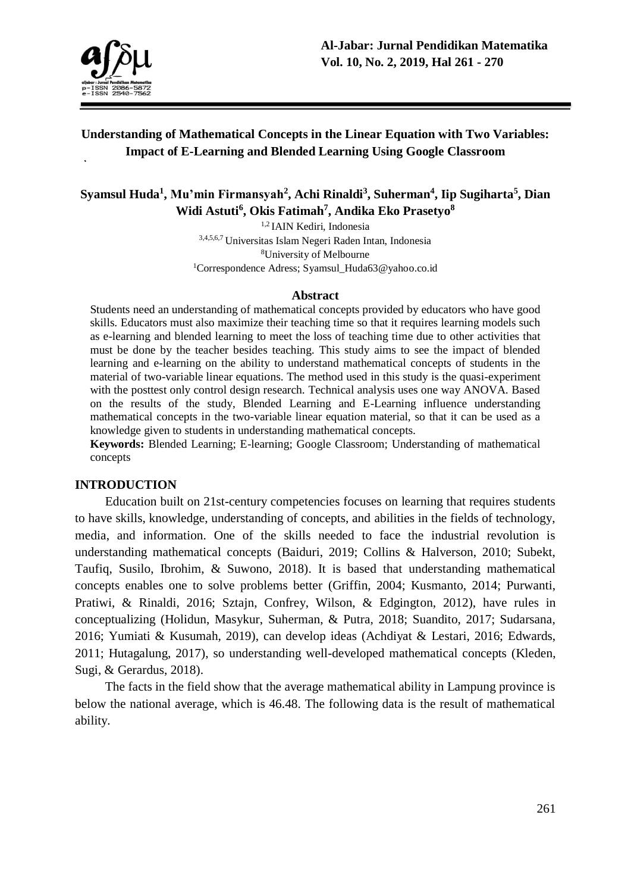

# **Understanding of Mathematical Concepts in the Linear Equation with Two Variables: Impact of E-Learning and Blended Learning Using Google Classroom**

# **Syamsul Huda<sup>1</sup> , Mu'min Firmansyah<sup>2</sup> , Achi Rinaldi<sup>3</sup> , Suherman<sup>4</sup> , Iip Sugiharta<sup>5</sup> , Dian Widi Astuti<sup>6</sup> , Okis Fatimah<sup>7</sup> , Andika Eko Prasetyo<sup>8</sup>**

1,2 IAIN Kediri, Indonesia 3,4,5,6,7 Universitas Islam Negeri Raden Intan, Indonesia <sup>8</sup>University of Melbourne <sup>1</sup>Correspondence Adress; Syamsul Huda63@yahoo.co.id

#### **Abstract**

Students need an understanding of mathematical concepts provided by educators who have good skills. Educators must also maximize their teaching time so that it requires learning models such as e-learning and blended learning to meet the loss of teaching time due to other activities that must be done by the teacher besides teaching. This study aims to see the impact of blended learning and e-learning on the ability to understand mathematical concepts of students in the material of two-variable linear equations. The method used in this study is the quasi-experiment with the posttest only control design research. Technical analysis uses one way ANOVA. Based on the results of the study, Blended Learning and E-Learning influence understanding mathematical concepts in the two-variable linear equation material, so that it can be used as a knowledge given to students in understanding mathematical concepts.

**Keywords:** Blended Learning; E-learning; Google Classroom; Understanding of mathematical concepts

#### **INTRODUCTION**

Education built on 21st-century competencies focuses on learning that requires students to have skills, knowledge, understanding of concepts, and abilities in the fields of technology, media, and information. One of the skills needed to face the industrial revolution is understanding mathematical concepts (Baiduri, 2019; Collins & Halverson, 2010; Subekt, Taufiq, Susilo, Ibrohim, & Suwono, 2018). It is based that understanding mathematical concepts enables one to solve problems better (Griffin, 2004; Kusmanto, 2014; Purwanti, Pratiwi, & Rinaldi, 2016; Sztajn, Confrey, Wilson, & Edgington, 2012), have rules in conceptualizing (Holidun, Masykur, Suherman, & Putra, 2018; Suandito, 2017; Sudarsana, 2016; Yumiati & Kusumah, 2019), can develop ideas (Achdiyat & Lestari, 2016; Edwards, 2011; Hutagalung, 2017), so understanding well-developed mathematical concepts (Kleden, Sugi, & Gerardus, 2018).

The facts in the field show that the average mathematical ability in Lampung province is below the national average, which is 46.48. The following data is the result of mathematical ability.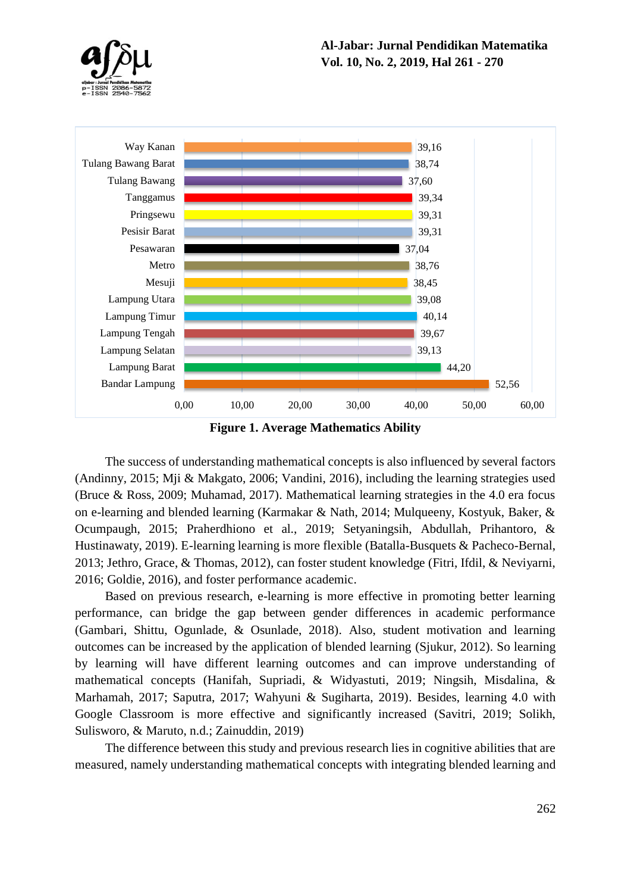





The success of understanding mathematical concepts is also influenced by several factors (Andinny, 2015; Mji & Makgato, 2006; Vandini, 2016), including the learning strategies used (Bruce & Ross, 2009; Muhamad, 2017). Mathematical learning strategies in the 4.0 era focus on e-learning and blended learning (Karmakar & Nath, 2014; Mulqueeny, Kostyuk, Baker, & Ocumpaugh, 2015; Praherdhiono et al., 2019; Setyaningsih, Abdullah, Prihantoro, & Hustinawaty, 2019). E-learning learning is more flexible (Batalla-Busquets & Pacheco-Bernal, 2013; Jethro, Grace, & Thomas, 2012), can foster student knowledge (Fitri, Ifdil, & Neviyarni, 2016; Goldie, 2016), and foster performance academic.

Based on previous research, e-learning is more effective in promoting better learning performance, can bridge the gap between gender differences in academic performance (Gambari, Shittu, Ogunlade, & Osunlade, 2018). Also, student motivation and learning outcomes can be increased by the application of blended learning (Sjukur, 2012). So learning by learning will have different learning outcomes and can improve understanding of mathematical concepts (Hanifah, Supriadi, & Widyastuti, 2019; Ningsih, Misdalina, & Marhamah, 2017; Saputra, 2017; Wahyuni & Sugiharta, 2019). Besides, learning 4.0 with Google Classroom is more effective and significantly increased (Savitri, 2019; Solikh, Sulisworo, & Maruto, n.d.; Zainuddin, 2019)

The difference between this study and previous research lies in cognitive abilities that are measured, namely understanding mathematical concepts with integrating blended learning and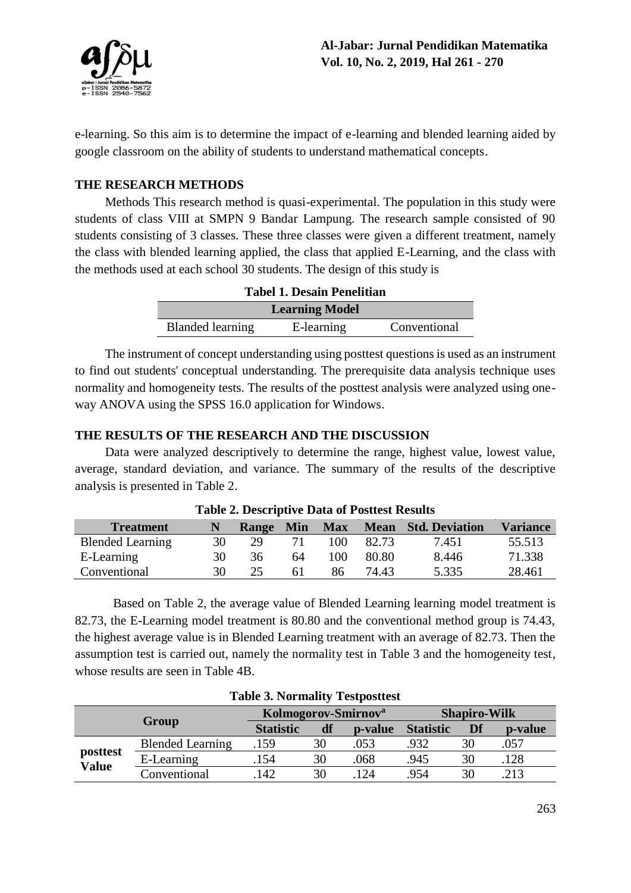

e-learning. So this aim is to determine the impact of e-learning and blended learning aided by google classroom on the ability of students to understand mathematical concepts.

## **THE RESEARCH METHODS**

Methods This research method is quasi-experimental. The population in this study were students of class VIII at SMPN 9 Bandar Lampung. The research sample consisted of 90 students consisting of 3 classes. These three classes were given a different treatment, namely the class with blended learning applied, the class that applied E-Learning, and the class with the methods used at each school 30 students. The design of this study is

| <b>Tabel 1. Desain Penelitian</b> |            |              |  |  |
|-----------------------------------|------------|--------------|--|--|
| <b>Learning Model</b>             |            |              |  |  |
| <b>Blanded learning</b>           | E-learning | Conventional |  |  |

The instrument of concept understanding using posttest questions is used as an instrument to find out students' conceptual understanding. The prerequisite data analysis technique uses normality and homogeneity tests. The results of the posttest analysis were analyzed using oneway ANOVA using the SPSS 16.0 application for Windows.

### **THE RESULTS OF THE RESEARCH AND THE DISCUSSION**

Data were analyzed descriptively to determine the range, highest value, lowest value, average, standard deviation, and variance. The summary of the results of the descriptive analysis is presented in Table 2.

| Table 2. Descriptive Data of I osticst Results |    |              |            |            |       |                            |                 |
|------------------------------------------------|----|--------------|------------|------------|-------|----------------------------|-----------------|
| <b>Treatment</b>                               | N  | <b>Range</b> | <b>Min</b> | <b>Max</b> |       | <b>Mean</b> Std. Deviation | <b>Variance</b> |
| <b>Blended Learning</b>                        | 30 | 29           |            | 100        | 82.73 | 7.451                      | 55.513          |
| E-Learning                                     | 30 | 36           | 64         | 100        | 80.80 | 8.446                      | 71.338          |
| Conventional                                   | 30 | つう           |            | 86         | 74.43 | 5.335                      | 28.461          |

**Table 2. Descriptive Data of Posttest Results**

Based on Table 2, the average value of Blended Learning learning model treatment is 82.73, the E-Learning model treatment is 80.80 and the conventional method group is 74.43, the highest average value is in Blended Learning treatment with an average of 82.73. Then the assumption test is carried out, namely the normality test in Table 3 and the homogeneity test, whose results are seen in Table 4B.

| Labic 9. FOI manty resipositest |                         |                                 |    |         |                     |    |         |
|---------------------------------|-------------------------|---------------------------------|----|---------|---------------------|----|---------|
|                                 |                         | Kolmogorov-Smirnov <sup>a</sup> |    |         | <b>Shapiro-Wilk</b> |    |         |
|                                 | Group                   | <b>Statistic</b>                | df | p-value | <b>Statistic</b>    | Df | p-value |
|                                 | <b>Blended Learning</b> | .159                            | 30 | .053    | .932                | 30 | .057    |
| posttest<br><b>Value</b>        | E-Learning              | .154                            | 30 | .068    | .945                | 30 | .128    |
|                                 | Conventional            | 142                             | 30 | 124     | 954.                | 30 | 213     |

#### **Table 3. Normality Testposttest**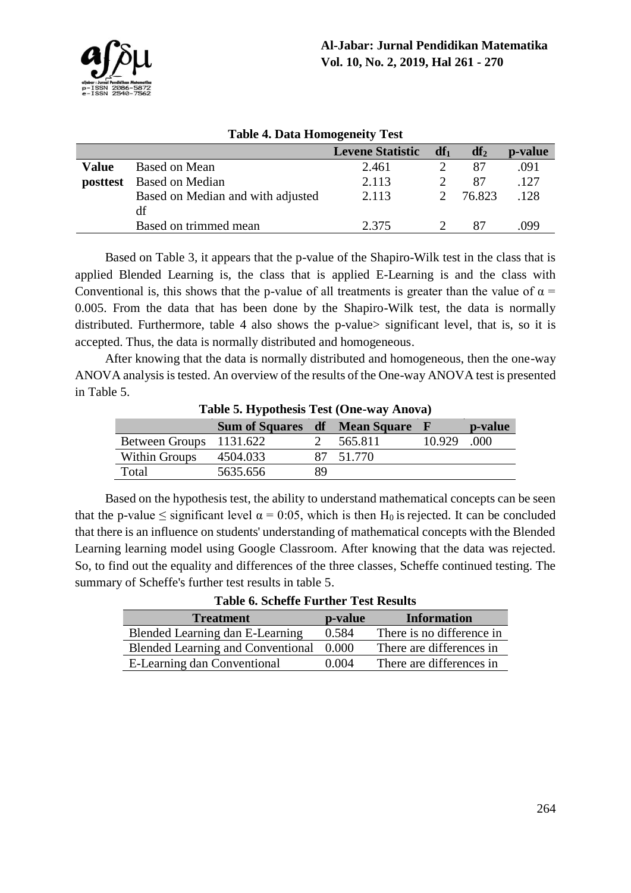

| Table 4. Data Homogeneity Test |                                   |                         |        |        |         |  |
|--------------------------------|-----------------------------------|-------------------------|--------|--------|---------|--|
|                                |                                   | <b>Levene Statistic</b> | $df_1$ | $df_2$ | p-value |  |
| Value                          | Based on Mean                     | 2.461                   |        | 87     | .091    |  |
| posttest                       | Based on Median                   | 2.113                   |        | 87     | .127    |  |
|                                | Based on Median and with adjusted | 2.113                   |        | 76.823 | .128    |  |
|                                | df                                |                         |        |        |         |  |
|                                | Based on trimmed mean             | 2.375                   |        | 87     | .099    |  |
|                                |                                   |                         |        |        |         |  |

### **Table 4. Data Homogeneity Test**

Based on Table 3, it appears that the p-value of the Shapiro-Wilk test in the class that is applied Blended Learning is, the class that is applied E-Learning is and the class with Conventional is, this shows that the p-value of all treatments is greater than the value of  $\alpha$  = 0.005. From the data that has been done by the Shapiro-Wilk test, the data is normally distributed. Furthermore, table 4 also shows the p-value> significant level, that is, so it is accepted. Thus, the data is normally distributed and homogeneous.

After knowing that the data is normally distributed and homogeneous, then the one-way ANOVA analysis is tested. An overview of the results of the One-way ANOVA test is presented in Table 5.

| Lable 5. Hypothesis Test (Offe-way Allova) |                                        |    |           |        |         |  |
|--------------------------------------------|----------------------------------------|----|-----------|--------|---------|--|
|                                            | <b>Sum of Squares df</b> Mean Square F |    |           |        | p-value |  |
| Between Groups 1131.622                    |                                        |    | 565.811   | 10.929 | .000    |  |
| Within Groups                              | 4504.033                               |    | 87 51.770 |        |         |  |
| Total                                      | 5635.656                               | 89 |           |        |         |  |

**Table 5. Hypothesis Test (One-way Anova)**

Based on the hypothesis test, the ability to understand mathematical concepts can be seen that the p-value  $\leq$  significant level  $\alpha = 0.05$ , which is then H<sub>0</sub> is rejected. It can be concluded that there is an influence on students' understanding of mathematical concepts with the Blended Learning learning model using Google Classroom. After knowing that the data was rejected. So, to find out the equality and differences of the three classes, Scheffe continued testing. The summary of Scheffe's further test results in table 5.

**Table 6. Scheffe Further Test Results**

| <b>Treatment</b>                         | p-value | <b>Information</b>        |
|------------------------------------------|---------|---------------------------|
| Blended Learning dan E-Learning          | 0.584   | There is no difference in |
| <b>Blended Learning and Conventional</b> | 0.000   | There are differences in  |
| E-Learning dan Conventional              | 0.004   | There are differences in  |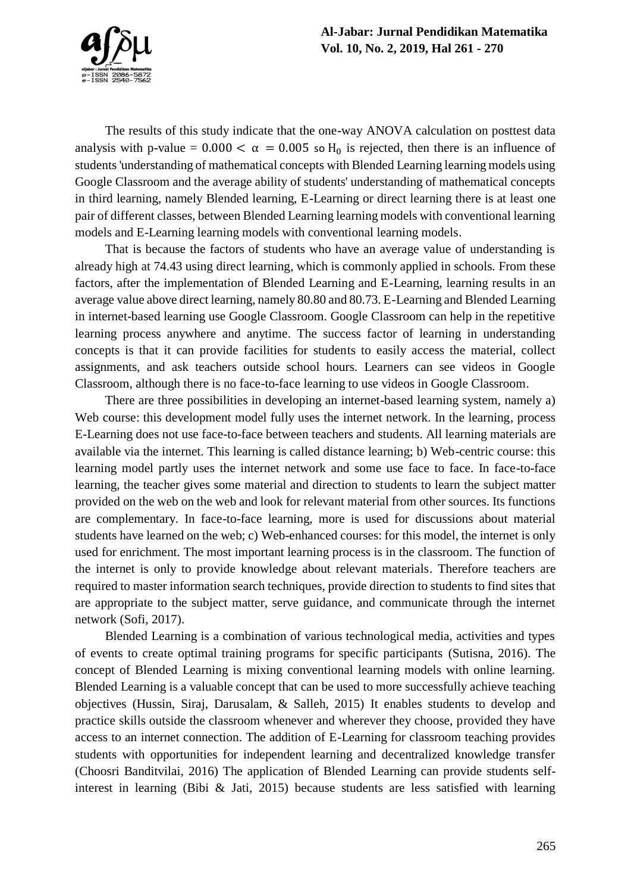

The results of this study indicate that the one-way ANOVA calculation on posttest data analysis with p-value =  $0.000 < \alpha = 0.005$  so H<sub>0</sub> is rejected, then there is an influence of students 'understanding of mathematical concepts with Blended Learning learning models using Google Classroom and the average ability of students' understanding of mathematical concepts in third learning, namely Blended learning, E-Learning or direct learning there is at least one pair of different classes, between Blended Learning learning models with conventional learning models and E-Learning learning models with conventional learning models.

That is because the factors of students who have an average value of understanding is already high at 74.43 using direct learning, which is commonly applied in schools. From these factors, after the implementation of Blended Learning and E-Learning, learning results in an average value above direct learning, namely 80.80 and 80.73. E-Learning and Blended Learning in internet-based learning use Google Classroom. Google Classroom can help in the repetitive learning process anywhere and anytime. The success factor of learning in understanding concepts is that it can provide facilities for students to easily access the material, collect assignments, and ask teachers outside school hours. Learners can see videos in Google Classroom, although there is no face-to-face learning to use videos in Google Classroom.

There are three possibilities in developing an internet-based learning system, namely a) Web course: this development model fully uses the internet network. In the learning, process E-Learning does not use face-to-face between teachers and students. All learning materials are available via the internet. This learning is called distance learning; b) Web-centric course: this learning model partly uses the internet network and some use face to face. In face-to-face learning, the teacher gives some material and direction to students to learn the subject matter provided on the web on the web and look for relevant material from other sources. Its functions are complementary. In face-to-face learning, more is used for discussions about material students have learned on the web; c) Web-enhanced courses: for this model, the internet is only used for enrichment. The most important learning process is in the classroom. The function of the internet is only to provide knowledge about relevant materials. Therefore teachers are required to master information search techniques, provide direction to students to find sites that are appropriate to the subject matter, serve guidance, and communicate through the internet network (Sofi, 2017).

Blended Learning is a combination of various technological media, activities and types of events to create optimal training programs for specific participants (Sutisna, 2016). The concept of Blended Learning is mixing conventional learning models with online learning. Blended Learning is a valuable concept that can be used to more successfully achieve teaching objectives (Hussin, Siraj, Darusalam, & Salleh, 2015) It enables students to develop and practice skills outside the classroom whenever and wherever they choose, provided they have access to an internet connection. The addition of E-Learning for classroom teaching provides students with opportunities for independent learning and decentralized knowledge transfer (Choosri Banditvilai, 2016) The application of Blended Learning can provide students selfinterest in learning (Bibi & Jati, 2015) because students are less satisfied with learning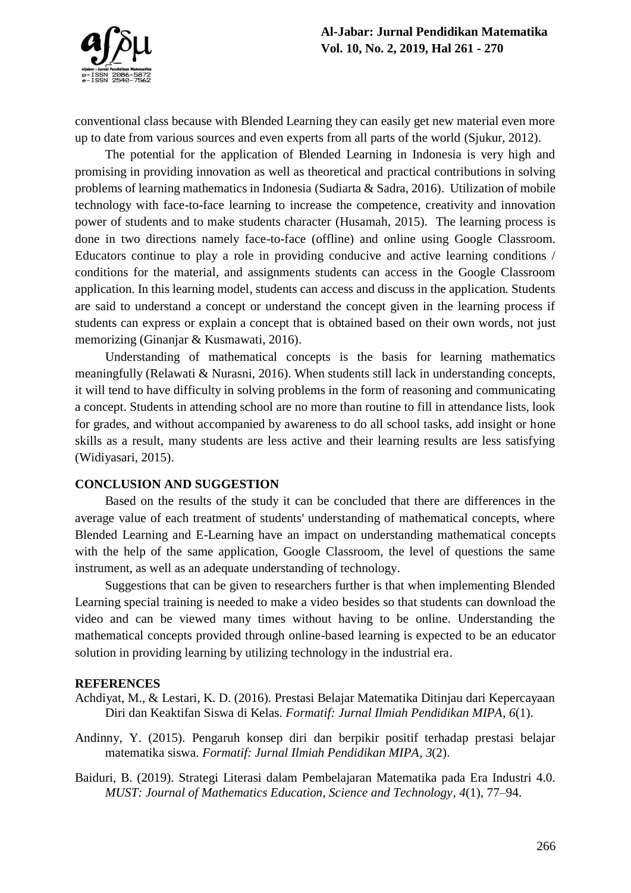

conventional class because with Blended Learning they can easily get new material even more up to date from various sources and even experts from all parts of the world (Sjukur, 2012).

The potential for the application of Blended Learning in Indonesia is very high and promising in providing innovation as well as theoretical and practical contributions in solving problems of learning mathematics in Indonesia (Sudiarta & Sadra, 2016). Utilization of mobile technology with face-to-face learning to increase the competence, creativity and innovation power of students and to make students character (Husamah, 2015). The learning process is done in two directions namely face-to-face (offline) and online using Google Classroom. Educators continue to play a role in providing conducive and active learning conditions / conditions for the material, and assignments students can access in the Google Classroom application. In this learning model, students can access and discuss in the application. Students are said to understand a concept or understand the concept given in the learning process if students can express or explain a concept that is obtained based on their own words, not just memorizing (Ginanjar & Kusmawati, 2016).

Understanding of mathematical concepts is the basis for learning mathematics meaningfully (Relawati & Nurasni, 2016). When students still lack in understanding concepts, it will tend to have difficulty in solving problems in the form of reasoning and communicating a concept. Students in attending school are no more than routine to fill in attendance lists, look for grades, and without accompanied by awareness to do all school tasks, add insight or hone skills as a result, many students are less active and their learning results are less satisfying (Widiyasari, 2015).

#### **CONCLUSION AND SUGGESTION**

Based on the results of the study it can be concluded that there are differences in the average value of each treatment of students' understanding of mathematical concepts, where Blended Learning and E-Learning have an impact on understanding mathematical concepts with the help of the same application, Google Classroom, the level of questions the same instrument, as well as an adequate understanding of technology.

Suggestions that can be given to researchers further is that when implementing Blended Learning special training is needed to make a video besides so that students can download the video and can be viewed many times without having to be online. Understanding the mathematical concepts provided through online-based learning is expected to be an educator solution in providing learning by utilizing technology in the industrial era.

#### **REFERENCES**

- Achdiyat, M., & Lestari, K. D. (2016). Prestasi Belajar Matematika Ditinjau dari Kepercayaan Diri dan Keaktifan Siswa di Kelas. *Formatif: Jurnal Ilmiah Pendidikan MIPA*, *6*(1).
- Andinny, Y. (2015). Pengaruh konsep diri dan berpikir positif terhadap prestasi belajar matematika siswa. *Formatif: Jurnal Ilmiah Pendidikan MIPA*, *3*(2).
- Baiduri, B. (2019). Strategi Literasi dalam Pembelajaran Matematika pada Era Industri 4.0. *MUST: Journal of Mathematics Education, Science and Technology*, *4*(1), 77–94.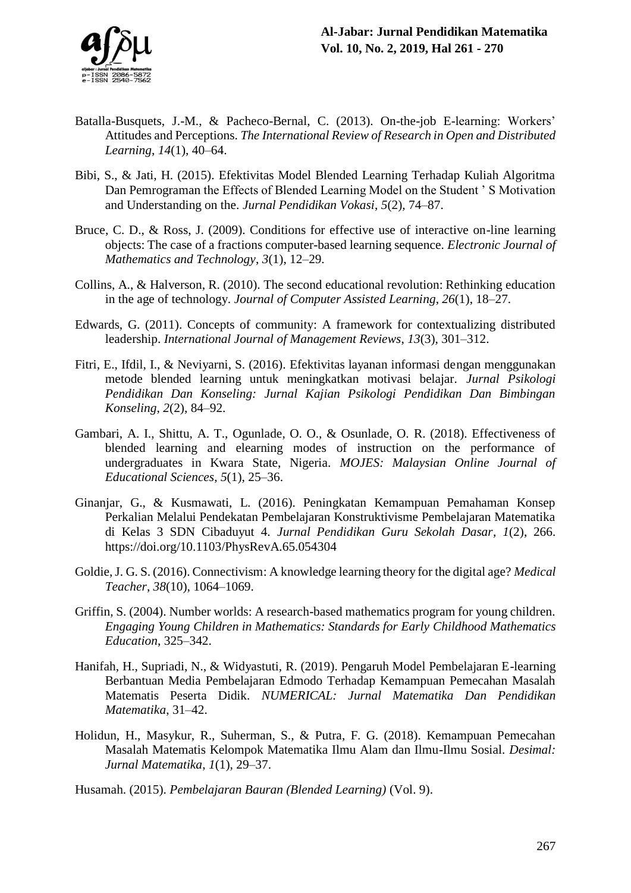- Batalla-Busquets, J.-M., & Pacheco-Bernal, C. (2013). On-the-job E-learning: Workers' Attitudes and Perceptions. *The International Review of Research in Open and Distributed Learning*, *14*(1), 40–64.
- Bibi, S., & Jati, H. (2015). Efektivitas Model Blended Learning Terhadap Kuliah Algoritma Dan Pemrograman the Effects of Blended Learning Model on the Student ' S Motivation and Understanding on the. *Jurnal Pendidikan Vokasi*, *5*(2), 74–87.
- Bruce, C. D., & Ross, J. (2009). Conditions for effective use of interactive on-line learning objects: The case of a fractions computer-based learning sequence. *Electronic Journal of Mathematics and Technology*, *3*(1), 12–29.
- Collins, A., & Halverson, R. (2010). The second educational revolution: Rethinking education in the age of technology. *Journal of Computer Assisted Learning*, *26*(1), 18–27.
- Edwards, G. (2011). Concepts of community: A framework for contextualizing distributed leadership. *International Journal of Management Reviews*, *13*(3), 301–312.
- Fitri, E., Ifdil, I., & Neviyarni, S. (2016). Efektivitas layanan informasi dengan menggunakan metode blended learning untuk meningkatkan motivasi belajar. *Jurnal Psikologi Pendidikan Dan Konseling: Jurnal Kajian Psikologi Pendidikan Dan Bimbingan Konseling*, *2*(2), 84–92.
- Gambari, A. I., Shittu, A. T., Ogunlade, O. O., & Osunlade, O. R. (2018). Effectiveness of blended learning and elearning modes of instruction on the performance of undergraduates in Kwara State, Nigeria. *MOJES: Malaysian Online Journal of Educational Sciences*, *5*(1), 25–36.
- Ginanjar, G., & Kusmawati, L. (2016). Peningkatan Kemampuan Pemahaman Konsep Perkalian Melalui Pendekatan Pembelajaran Konstruktivisme Pembelajaran Matematika di Kelas 3 SDN Cibaduyut 4. *Jurnal Pendidikan Guru Sekolah Dasar*, *1*(2), 266. https://doi.org/10.1103/PhysRevA.65.054304
- Goldie, J. G. S. (2016). Connectivism: A knowledge learning theory for the digital age? *Medical Teacher*, *38*(10), 1064–1069.
- Griffin, S. (2004). Number worlds: A research-based mathematics program for young children. *Engaging Young Children in Mathematics: Standards for Early Childhood Mathematics Education*, 325–342.
- Hanifah, H., Supriadi, N., & Widyastuti, R. (2019). Pengaruh Model Pembelajaran E-learning Berbantuan Media Pembelajaran Edmodo Terhadap Kemampuan Pemecahan Masalah Matematis Peserta Didik. *NUMERICAL: Jurnal Matematika Dan Pendidikan Matematika*, 31–42.
- Holidun, H., Masykur, R., Suherman, S., & Putra, F. G. (2018). Kemampuan Pemecahan Masalah Matematis Kelompok Matematika Ilmu Alam dan Ilmu-Ilmu Sosial. *Desimal: Jurnal Matematika*, *1*(1), 29–37.

Husamah. (2015). *Pembelajaran Bauran (Blended Learning)* (Vol. 9).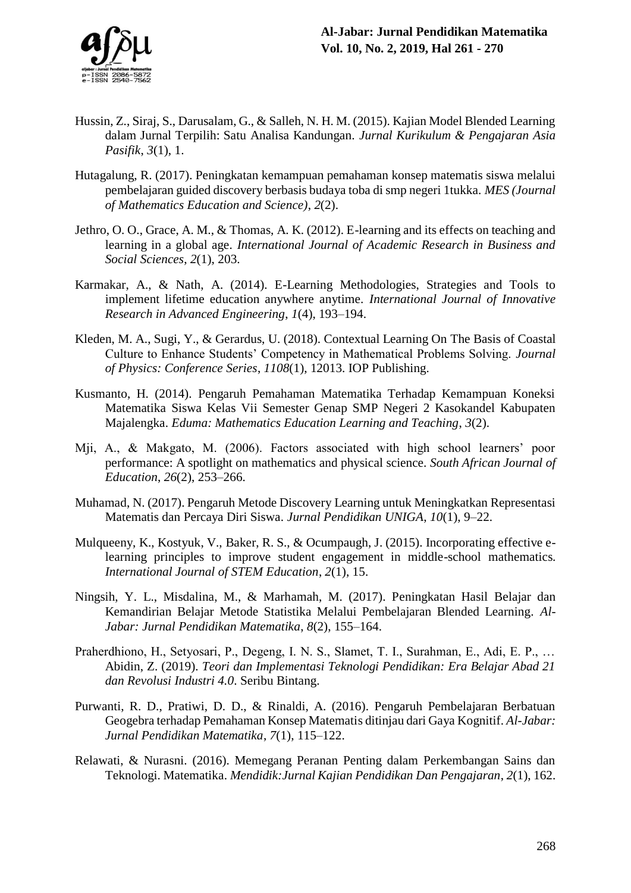

- Hussin, Z., Siraj, S., Darusalam, G., & Salleh, N. H. M. (2015). Kajian Model Blended Learning dalam Jurnal Terpilih: Satu Analisa Kandungan. *Jurnal Kurikulum & Pengajaran Asia Pasifik*, *3*(1), 1.
- Hutagalung, R. (2017). Peningkatan kemampuan pemahaman konsep matematis siswa melalui pembelajaran guided discovery berbasis budaya toba di smp negeri 1tukka. *MES (Journal of Mathematics Education and Science)*, *2*(2).
- Jethro, O. O., Grace, A. M., & Thomas, A. K. (2012). E-learning and its effects on teaching and learning in a global age. *International Journal of Academic Research in Business and Social Sciences*, *2*(1), 203.
- Karmakar, A., & Nath, A. (2014). E-Learning Methodologies, Strategies and Tools to implement lifetime education anywhere anytime. *International Journal of Innovative Research in Advanced Engineering*, *1*(4), 193–194.
- Kleden, M. A., Sugi, Y., & Gerardus, U. (2018). Contextual Learning On The Basis of Coastal Culture to Enhance Students' Competency in Mathematical Problems Solving. *Journal of Physics: Conference Series*, *1108*(1), 12013. IOP Publishing.
- Kusmanto, H. (2014). Pengaruh Pemahaman Matematika Terhadap Kemampuan Koneksi Matematika Siswa Kelas Vii Semester Genap SMP Negeri 2 Kasokandel Kabupaten Majalengka. *Eduma: Mathematics Education Learning and Teaching*, *3*(2).
- Mji, A., & Makgato, M. (2006). Factors associated with high school learners' poor performance: A spotlight on mathematics and physical science. *South African Journal of Education*, *26*(2), 253–266.
- Muhamad, N. (2017). Pengaruh Metode Discovery Learning untuk Meningkatkan Representasi Matematis dan Percaya Diri Siswa. *Jurnal Pendidikan UNIGA*, *10*(1), 9–22.
- Mulqueeny, K., Kostyuk, V., Baker, R. S., & Ocumpaugh, J. (2015). Incorporating effective elearning principles to improve student engagement in middle-school mathematics. *International Journal of STEM Education*, *2*(1), 15.
- Ningsih, Y. L., Misdalina, M., & Marhamah, M. (2017). Peningkatan Hasil Belajar dan Kemandirian Belajar Metode Statistika Melalui Pembelajaran Blended Learning. *Al-Jabar: Jurnal Pendidikan Matematika*, *8*(2), 155–164.
- Praherdhiono, H., Setyosari, P., Degeng, I. N. S., Slamet, T. I., Surahman, E., Adi, E. P., … Abidin, Z. (2019). *Teori dan Implementasi Teknologi Pendidikan: Era Belajar Abad 21 dan Revolusi Industri 4.0*. Seribu Bintang.
- Purwanti, R. D., Pratiwi, D. D., & Rinaldi, A. (2016). Pengaruh Pembelajaran Berbatuan Geogebra terhadap Pemahaman Konsep Matematis ditinjau dari Gaya Kognitif. *Al-Jabar: Jurnal Pendidikan Matematika*, *7*(1), 115–122.
- Relawati, & Nurasni. (2016). Memegang Peranan Penting dalam Perkembangan Sains dan Teknologi. Matematika. *Mendidik:Jurnal Kajian Pendidikan Dan Pengajaran*, *2*(1), 162.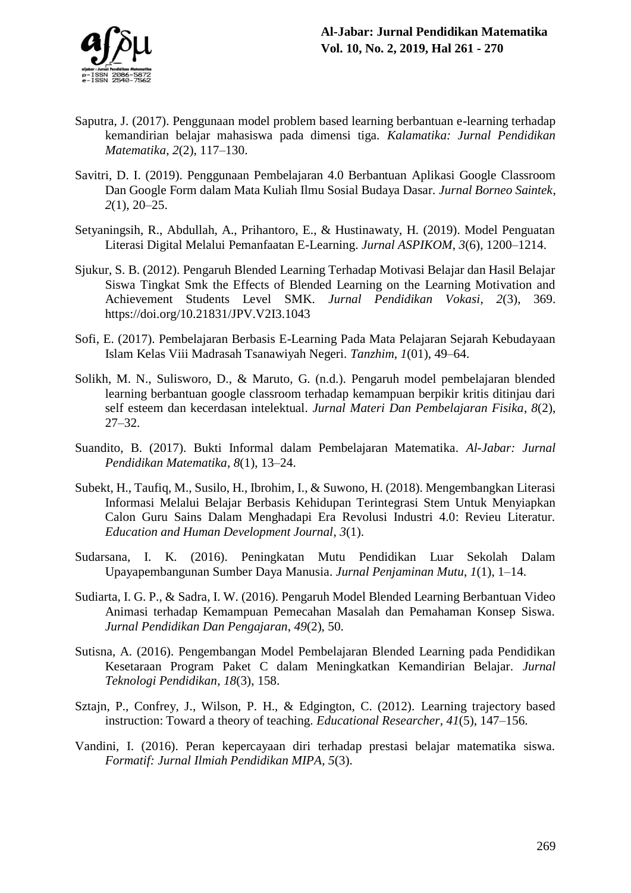

- Saputra, J. (2017). Penggunaan model problem based learning berbantuan e-learning terhadap kemandirian belajar mahasiswa pada dimensi tiga. *Kalamatika: Jurnal Pendidikan Matematika*, *2*(2), 117–130.
- Savitri, D. I. (2019). Penggunaan Pembelajaran 4.0 Berbantuan Aplikasi Google Classroom Dan Google Form dalam Mata Kuliah Ilmu Sosial Budaya Dasar. *Jurnal Borneo Saintek*, *2*(1), 20–25.
- Setyaningsih, R., Abdullah, A., Prihantoro, E., & Hustinawaty, H. (2019). Model Penguatan Literasi Digital Melalui Pemanfaatan E-Learning. *Jurnal ASPIKOM*, *3*(6), 1200–1214.
- Sjukur, S. B. (2012). Pengaruh Blended Learning Terhadap Motivasi Belajar dan Hasil Belajar Siswa Tingkat Smk the Effects of Blended Learning on the Learning Motivation and Achievement Students Level SMK. *Jurnal Pendidikan Vokasi*, *2*(3), 369. https://doi.org/10.21831/JPV.V2I3.1043
- Sofi, E. (2017). Pembelajaran Berbasis E-Learning Pada Mata Pelajaran Sejarah Kebudayaan Islam Kelas Viii Madrasah Tsanawiyah Negeri. *Tanzhim*, *1*(01), 49–64.
- Solikh, M. N., Sulisworo, D., & Maruto, G. (n.d.). Pengaruh model pembelajaran blended learning berbantuan google classroom terhadap kemampuan berpikir kritis ditinjau dari self esteem dan kecerdasan intelektual. *Jurnal Materi Dan Pembelajaran Fisika*, *8*(2), 27–32.
- Suandito, B. (2017). Bukti Informal dalam Pembelajaran Matematika. *Al-Jabar: Jurnal Pendidikan Matematika*, *8*(1), 13–24.
- Subekt, H., Taufiq, M., Susilo, H., Ibrohim, I., & Suwono, H. (2018). Mengembangkan Literasi Informasi Melalui Belajar Berbasis Kehidupan Terintegrasi Stem Untuk Menyiapkan Calon Guru Sains Dalam Menghadapi Era Revolusi Industri 4.0: Revieu Literatur. *Education and Human Development Journal*, *3*(1).
- Sudarsana, I. K. (2016). Peningkatan Mutu Pendidikan Luar Sekolah Dalam Upayapembangunan Sumber Daya Manusia. *Jurnal Penjaminan Mutu*, *1*(1), 1–14.
- Sudiarta, I. G. P., & Sadra, I. W. (2016). Pengaruh Model Blended Learning Berbantuan Video Animasi terhadap Kemampuan Pemecahan Masalah dan Pemahaman Konsep Siswa. *Jurnal Pendidikan Dan Pengajaran*, *49*(2), 50.
- Sutisna, A. (2016). Pengembangan Model Pembelajaran Blended Learning pada Pendidikan Kesetaraan Program Paket C dalam Meningkatkan Kemandirian Belajar. *Jurnal Teknologi Pendidikan*, *18*(3), 158.
- Sztajn, P., Confrey, J., Wilson, P. H., & Edgington, C. (2012). Learning trajectory based instruction: Toward a theory of teaching. *Educational Researcher*, *41*(5), 147–156.
- Vandini, I. (2016). Peran kepercayaan diri terhadap prestasi belajar matematika siswa. *Formatif: Jurnal Ilmiah Pendidikan MIPA*, *5*(3).